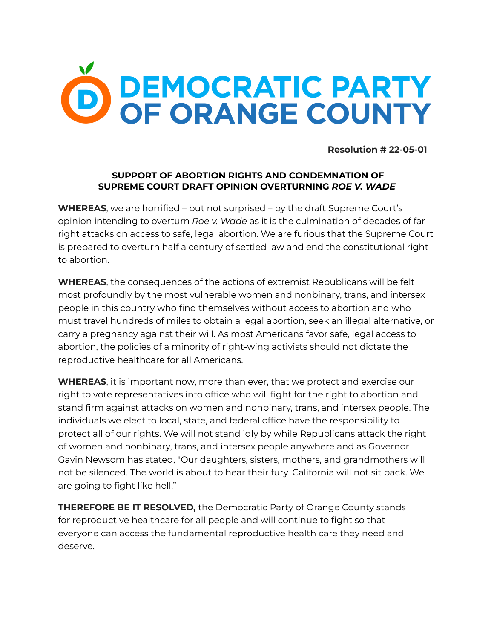

**Resolution # 22-05-01**

## **SUPPORT OF ABORTION RIGHTS AND CONDEMNATION OF SUPREME COURT DRAFT OPINION OVERTURNING** *ROE V. WADE*

**WHEREAS**, we are horrified – but not surprised – by the draft Supreme Court's opinion intending to overturn *Roe v. Wade* as it is the culmination of decades of far right attacks on access to safe, legal abortion. We are furious that the Supreme Court is prepared to overturn half a century of settled law and end the constitutional right to abortion.

**WHEREAS**, the consequences of the actions of extremist Republicans will be felt most profoundly by the most vulnerable women and nonbinary, trans, and intersex people in this country who find themselves without access to abortion and who must travel hundreds of miles to obtain a legal abortion, seek an illegal alternative, or carry a pregnancy against their will. As most Americans favor safe, legal access to abortion, the policies of a minority of right-wing activists should not dictate the reproductive healthcare for all Americans.

**WHEREAS**, it is important now, more than ever, that we protect and exercise our right to vote representatives into office who will fight for the right to abortion and stand firm against attacks on women and nonbinary, trans, and intersex people. The individuals we elect to local, state, and federal office have the responsibility to protect all of our rights. We will not stand idly by while Republicans attack the right of women and nonbinary, trans, and intersex people anywhere and as Governor Gavin Newsom has stated, "Our daughters, sisters, mothers, and grandmothers will not be silenced. The world is about to hear their fury. California will not sit back. We are going to fight like hell."

**THEREFORE BE IT RESOLVED,** the Democratic Party of Orange County stands for reproductive healthcare for all people and will continue to fight so that everyone can access the fundamental reproductive health care they need and deserve.